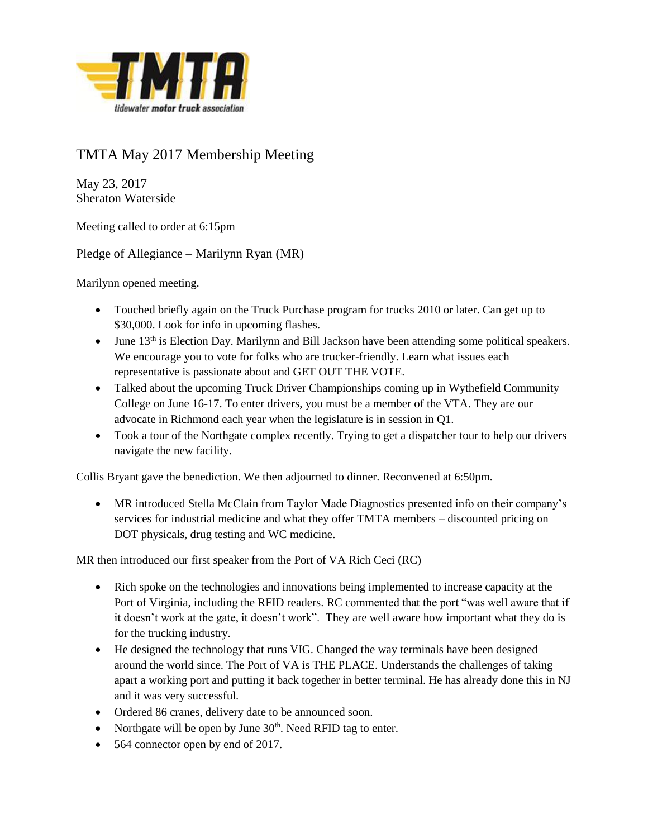

## TMTA May 2017 Membership Meeting

May 23, 2017 Sheraton Waterside

Meeting called to order at 6:15pm

Pledge of Allegiance – Marilynn Ryan (MR)

Marilynn opened meeting.

- Touched briefly again on the Truck Purchase program for trucks 2010 or later. Can get up to \$30,000. Look for info in upcoming flashes.
- June 13<sup>th</sup> is Election Day. Marilynn and Bill Jackson have been attending some political speakers. We encourage you to vote for folks who are trucker-friendly. Learn what issues each representative is passionate about and GET OUT THE VOTE.
- Talked about the upcoming Truck Driver Championships coming up in Wythefield Community College on June 16-17. To enter drivers, you must be a member of the VTA. They are our advocate in Richmond each year when the legislature is in session in Q1.
- Took a tour of the Northgate complex recently. Trying to get a dispatcher tour to help our drivers navigate the new facility.

Collis Bryant gave the benediction. We then adjourned to dinner. Reconvened at 6:50pm.

 MR introduced Stella McClain from Taylor Made Diagnostics presented info on their company's services for industrial medicine and what they offer TMTA members – discounted pricing on DOT physicals, drug testing and WC medicine.

MR then introduced our first speaker from the Port of VA Rich Ceci (RC)

- Rich spoke on the technologies and innovations being implemented to increase capacity at the Port of Virginia, including the RFID readers. RC commented that the port "was well aware that if it doesn't work at the gate, it doesn't work". They are well aware how important what they do is for the trucking industry.
- He designed the technology that runs VIG. Changed the way terminals have been designed around the world since. The Port of VA is THE PLACE. Understands the challenges of taking apart a working port and putting it back together in better terminal. He has already done this in NJ and it was very successful.
- Ordered 86 cranes, delivery date to be announced soon.
- Northgate will be open by June  $30<sup>th</sup>$ . Need RFID tag to enter.
- 564 connector open by end of 2017.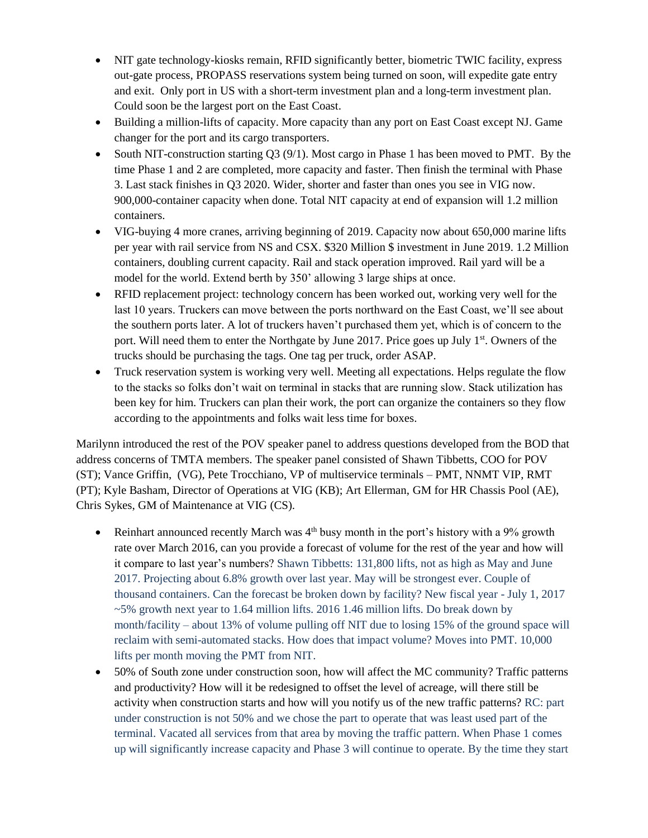- NIT gate technology-kiosks remain, RFID significantly better, biometric TWIC facility, express out-gate process, PROPASS reservations system being turned on soon, will expedite gate entry and exit. Only port in US with a short-term investment plan and a long-term investment plan. Could soon be the largest port on the East Coast.
- Building a million-lifts of capacity. More capacity than any port on East Coast except NJ. Game changer for the port and its cargo transporters.
- South NIT-construction starting  $Q3 (9/1)$ . Most cargo in Phase 1 has been moved to PMT. By the time Phase 1 and 2 are completed, more capacity and faster. Then finish the terminal with Phase 3. Last stack finishes in Q3 2020. Wider, shorter and faster than ones you see in VIG now. 900,000-container capacity when done. Total NIT capacity at end of expansion will 1.2 million containers.
- VIG-buying 4 more cranes, arriving beginning of 2019. Capacity now about 650,000 marine lifts per year with rail service from NS and CSX. \$320 Million \$ investment in June 2019. 1.2 Million containers, doubling current capacity. Rail and stack operation improved. Rail yard will be a model for the world. Extend berth by 350' allowing 3 large ships at once.
- RFID replacement project: technology concern has been worked out, working very well for the last 10 years. Truckers can move between the ports northward on the East Coast, we'll see about the southern ports later. A lot of truckers haven't purchased them yet, which is of concern to the port. Will need them to enter the Northgate by June 2017. Price goes up July 1<sup>st</sup>. Owners of the trucks should be purchasing the tags. One tag per truck, order ASAP.
- Truck reservation system is working very well. Meeting all expectations. Helps regulate the flow to the stacks so folks don't wait on terminal in stacks that are running slow. Stack utilization has been key for him. Truckers can plan their work, the port can organize the containers so they flow according to the appointments and folks wait less time for boxes.

Marilynn introduced the rest of the POV speaker panel to address questions developed from the BOD that address concerns of TMTA members. The speaker panel consisted of Shawn Tibbetts, COO for POV (ST); Vance Griffin, (VG), Pete Trocchiano, VP of multiservice terminals – PMT, NNMT VIP, RMT (PT); Kyle Basham, Director of Operations at VIG (KB); Art Ellerman, GM for HR Chassis Pool (AE), Chris Sykes, GM of Maintenance at VIG (CS).

- Reinhart announced recently March was  $4<sup>th</sup>$  busy month in the port's history with a 9% growth rate over March 2016, can you provide a forecast of volume for the rest of the year and how will it compare to last year's numbers? Shawn Tibbetts: 131,800 lifts, not as high as May and June 2017. Projecting about 6.8% growth over last year. May will be strongest ever. Couple of thousand containers. Can the forecast be broken down by facility? New fiscal year - July 1, 2017 ~5% growth next year to 1.64 million lifts. 2016 1.46 million lifts. Do break down by month/facility – about 13% of volume pulling off NIT due to losing 15% of the ground space will reclaim with semi-automated stacks. How does that impact volume? Moves into PMT. 10,000 lifts per month moving the PMT from NIT.
- 50% of South zone under construction soon, how will affect the MC community? Traffic patterns and productivity? How will it be redesigned to offset the level of acreage, will there still be activity when construction starts and how will you notify us of the new traffic patterns? RC: part under construction is not 50% and we chose the part to operate that was least used part of the terminal. Vacated all services from that area by moving the traffic pattern. When Phase 1 comes up will significantly increase capacity and Phase 3 will continue to operate. By the time they start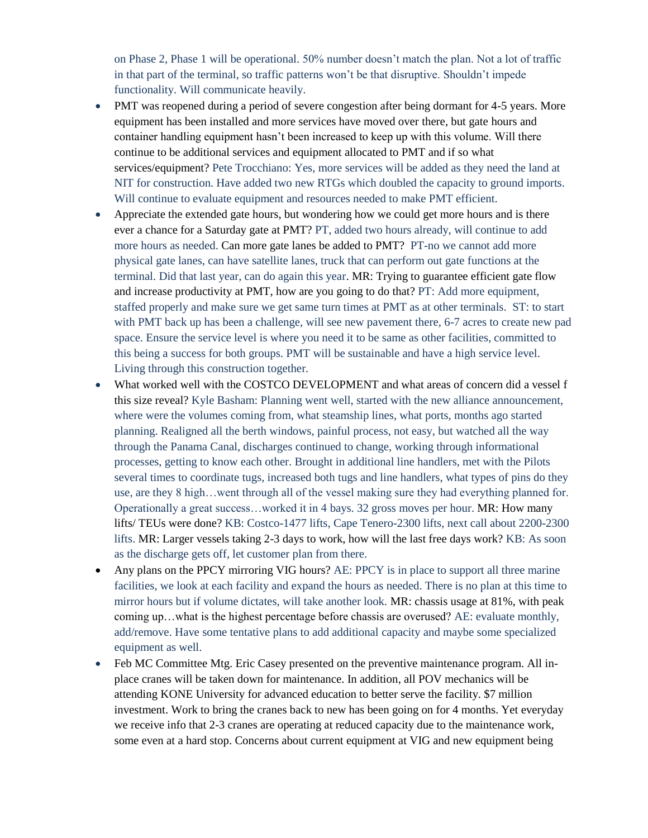on Phase 2, Phase 1 will be operational. 50% number doesn't match the plan. Not a lot of traffic in that part of the terminal, so traffic patterns won't be that disruptive. Shouldn't impede functionality. Will communicate heavily.

- PMT was reopened during a period of severe congestion after being dormant for 4-5 years. More equipment has been installed and more services have moved over there, but gate hours and container handling equipment hasn't been increased to keep up with this volume. Will there continue to be additional services and equipment allocated to PMT and if so what services/equipment? Pete Trocchiano: Yes, more services will be added as they need the land at NIT for construction. Have added two new RTGs which doubled the capacity to ground imports. Will continue to evaluate equipment and resources needed to make PMT efficient.
- Appreciate the extended gate hours, but wondering how we could get more hours and is there ever a chance for a Saturday gate at PMT? PT, added two hours already, will continue to add more hours as needed. Can more gate lanes be added to PMT? PT-no we cannot add more physical gate lanes, can have satellite lanes, truck that can perform out gate functions at the terminal. Did that last year, can do again this year. MR: Trying to guarantee efficient gate flow and increase productivity at PMT, how are you going to do that? PT: Add more equipment, staffed properly and make sure we get same turn times at PMT as at other terminals. ST: to start with PMT back up has been a challenge, will see new pavement there, 6-7 acres to create new pad space. Ensure the service level is where you need it to be same as other facilities, committed to this being a success for both groups. PMT will be sustainable and have a high service level. Living through this construction together.
- What worked well with the COSTCO DEVELOPMENT and what areas of concern did a vessel f this size reveal? Kyle Basham: Planning went well, started with the new alliance announcement, where were the volumes coming from, what steamship lines, what ports, months ago started planning. Realigned all the berth windows, painful process, not easy, but watched all the way through the Panama Canal, discharges continued to change, working through informational processes, getting to know each other. Brought in additional line handlers, met with the Pilots several times to coordinate tugs, increased both tugs and line handlers, what types of pins do they use, are they 8 high…went through all of the vessel making sure they had everything planned for. Operationally a great success…worked it in 4 bays. 32 gross moves per hour. MR: How many lifts/ TEUs were done? KB: Costco-1477 lifts, Cape Tenero-2300 lifts, next call about 2200-2300 lifts. MR: Larger vessels taking 2-3 days to work, how will the last free days work? KB: As soon as the discharge gets off, let customer plan from there.
- Any plans on the PPCY mirroring VIG hours? AE: PPCY is in place to support all three marine facilities, we look at each facility and expand the hours as needed. There is no plan at this time to mirror hours but if volume dictates, will take another look. MR: chassis usage at 81%, with peak coming up…what is the highest percentage before chassis are overused? AE: evaluate monthly, add/remove. Have some tentative plans to add additional capacity and maybe some specialized equipment as well.
- Feb MC Committee Mtg. Eric Casey presented on the preventive maintenance program. All inplace cranes will be taken down for maintenance. In addition, all POV mechanics will be attending KONE University for advanced education to better serve the facility. \$7 million investment. Work to bring the cranes back to new has been going on for 4 months. Yet everyday we receive info that 2-3 cranes are operating at reduced capacity due to the maintenance work, some even at a hard stop. Concerns about current equipment at VIG and new equipment being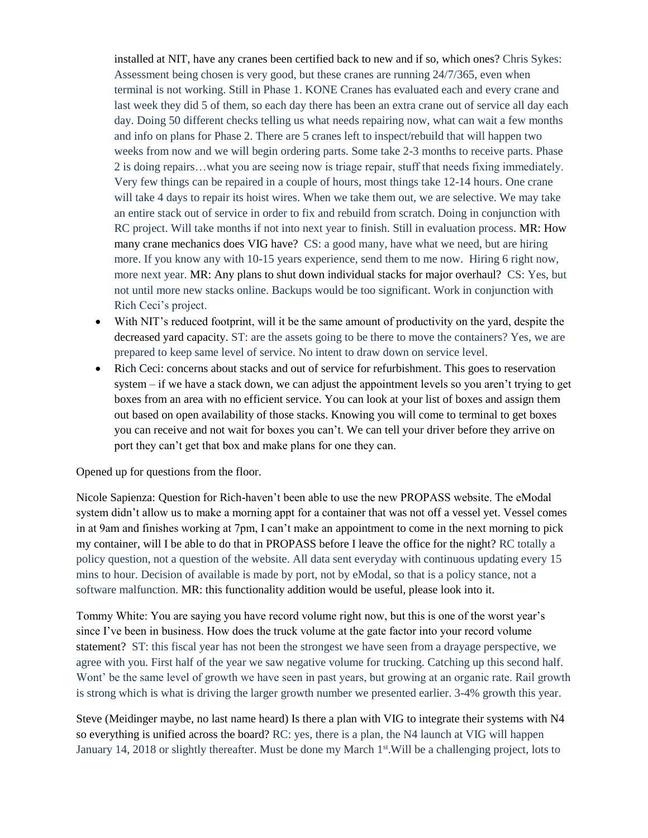installed at NIT, have any cranes been certified back to new and if so, which ones? Chris Sykes: Assessment being chosen is very good, but these cranes are running 24/7/365, even when terminal is not working. Still in Phase 1. KONE Cranes has evaluated each and every crane and last week they did 5 of them, so each day there has been an extra crane out of service all day each day. Doing 50 different checks telling us what needs repairing now, what can wait a few months and info on plans for Phase 2. There are 5 cranes left to inspect/rebuild that will happen two weeks from now and we will begin ordering parts. Some take 2-3 months to receive parts. Phase 2 is doing repairs…what you are seeing now is triage repair, stuff that needs fixing immediately. Very few things can be repaired in a couple of hours, most things take 12-14 hours. One crane will take 4 days to repair its hoist wires. When we take them out, we are selective. We may take an entire stack out of service in order to fix and rebuild from scratch. Doing in conjunction with RC project. Will take months if not into next year to finish. Still in evaluation process. MR: How many crane mechanics does VIG have? CS: a good many, have what we need, but are hiring more. If you know any with 10-15 years experience, send them to me now. Hiring 6 right now, more next year. MR: Any plans to shut down individual stacks for major overhaul? CS: Yes, but not until more new stacks online. Backups would be too significant. Work in conjunction with Rich Ceci's project.

- With NIT's reduced footprint, will it be the same amount of productivity on the yard, despite the decreased yard capacity. ST: are the assets going to be there to move the containers? Yes, we are prepared to keep same level of service. No intent to draw down on service level.
- Rich Ceci: concerns about stacks and out of service for refurbishment. This goes to reservation system – if we have a stack down, we can adjust the appointment levels so you aren't trying to get boxes from an area with no efficient service. You can look at your list of boxes and assign them out based on open availability of those stacks. Knowing you will come to terminal to get boxes you can receive and not wait for boxes you can't. We can tell your driver before they arrive on port they can't get that box and make plans for one they can.

Opened up for questions from the floor.

Nicole Sapienza: Question for Rich-haven't been able to use the new PROPASS website. The eModal system didn't allow us to make a morning appt for a container that was not off a vessel yet. Vessel comes in at 9am and finishes working at 7pm, I can't make an appointment to come in the next morning to pick my container, will I be able to do that in PROPASS before I leave the office for the night? RC totally a policy question, not a question of the website. All data sent everyday with continuous updating every 15 mins to hour. Decision of available is made by port, not by eModal, so that is a policy stance, not a software malfunction. MR: this functionality addition would be useful, please look into it.

Tommy White: You are saying you have record volume right now, but this is one of the worst year's since I've been in business. How does the truck volume at the gate factor into your record volume statement? ST: this fiscal year has not been the strongest we have seen from a drayage perspective, we agree with you. First half of the year we saw negative volume for trucking. Catching up this second half. Wont' be the same level of growth we have seen in past years, but growing at an organic rate. Rail growth is strong which is what is driving the larger growth number we presented earlier. 3-4% growth this year.

Steve (Meidinger maybe, no last name heard) Is there a plan with VIG to integrate their systems with N4 so everything is unified across the board? RC: yes, there is a plan, the N4 launch at VIG will happen January 14, 2018 or slightly thereafter. Must be done my March  $1<sup>st</sup>$ . Will be a challenging project, lots to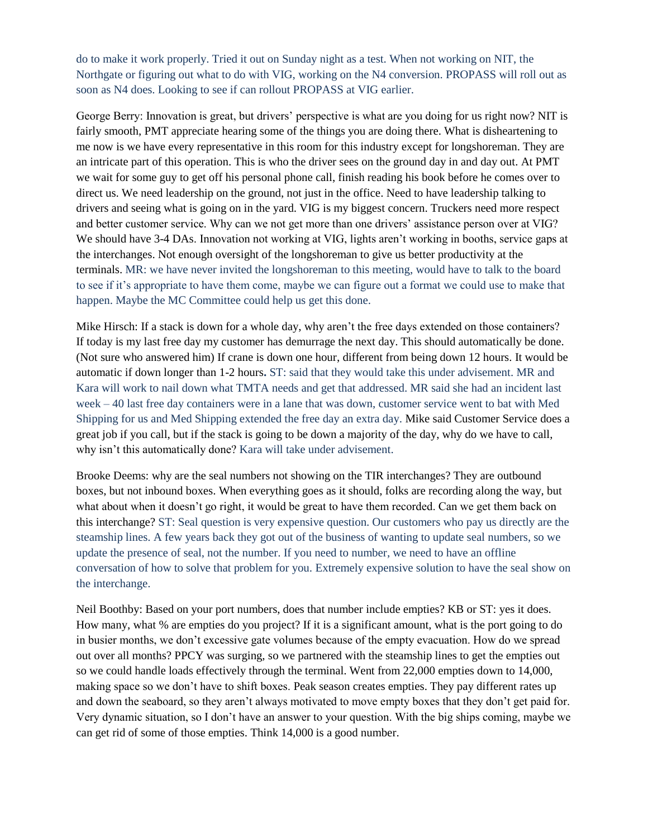do to make it work properly. Tried it out on Sunday night as a test. When not working on NIT, the Northgate or figuring out what to do with VIG, working on the N4 conversion. PROPASS will roll out as soon as N4 does. Looking to see if can rollout PROPASS at VIG earlier.

George Berry: Innovation is great, but drivers' perspective is what are you doing for us right now? NIT is fairly smooth, PMT appreciate hearing some of the things you are doing there. What is disheartening to me now is we have every representative in this room for this industry except for longshoreman. They are an intricate part of this operation. This is who the driver sees on the ground day in and day out. At PMT we wait for some guy to get off his personal phone call, finish reading his book before he comes over to direct us. We need leadership on the ground, not just in the office. Need to have leadership talking to drivers and seeing what is going on in the yard. VIG is my biggest concern. Truckers need more respect and better customer service. Why can we not get more than one drivers' assistance person over at VIG? We should have 3-4 DAs. Innovation not working at VIG, lights aren't working in booths, service gaps at the interchanges. Not enough oversight of the longshoreman to give us better productivity at the terminals. MR: we have never invited the longshoreman to this meeting, would have to talk to the board to see if it's appropriate to have them come, maybe we can figure out a format we could use to make that happen. Maybe the MC Committee could help us get this done.

Mike Hirsch: If a stack is down for a whole day, why aren't the free days extended on those containers? If today is my last free day my customer has demurrage the next day. This should automatically be done. (Not sure who answered him) If crane is down one hour, different from being down 12 hours. It would be automatic if down longer than 1-2 hours**.** ST: said that they would take this under advisement. MR and Kara will work to nail down what TMTA needs and get that addressed. MR said she had an incident last week – 40 last free day containers were in a lane that was down, customer service went to bat with Med Shipping for us and Med Shipping extended the free day an extra day. Mike said Customer Service does a great job if you call, but if the stack is going to be down a majority of the day, why do we have to call, why isn't this automatically done? Kara will take under advisement.

Brooke Deems: why are the seal numbers not showing on the TIR interchanges? They are outbound boxes, but not inbound boxes. When everything goes as it should, folks are recording along the way, but what about when it doesn't go right, it would be great to have them recorded. Can we get them back on this interchange? ST: Seal question is very expensive question. Our customers who pay us directly are the steamship lines. A few years back they got out of the business of wanting to update seal numbers, so we update the presence of seal, not the number. If you need to number, we need to have an offline conversation of how to solve that problem for you. Extremely expensive solution to have the seal show on the interchange.

Neil Boothby: Based on your port numbers, does that number include empties? KB or ST: yes it does. How many, what % are empties do you project? If it is a significant amount, what is the port going to do in busier months, we don't excessive gate volumes because of the empty evacuation. How do we spread out over all months? PPCY was surging, so we partnered with the steamship lines to get the empties out so we could handle loads effectively through the terminal. Went from 22,000 empties down to 14,000, making space so we don't have to shift boxes. Peak season creates empties. They pay different rates up and down the seaboard, so they aren't always motivated to move empty boxes that they don't get paid for. Very dynamic situation, so I don't have an answer to your question. With the big ships coming, maybe we can get rid of some of those empties. Think 14,000 is a good number.